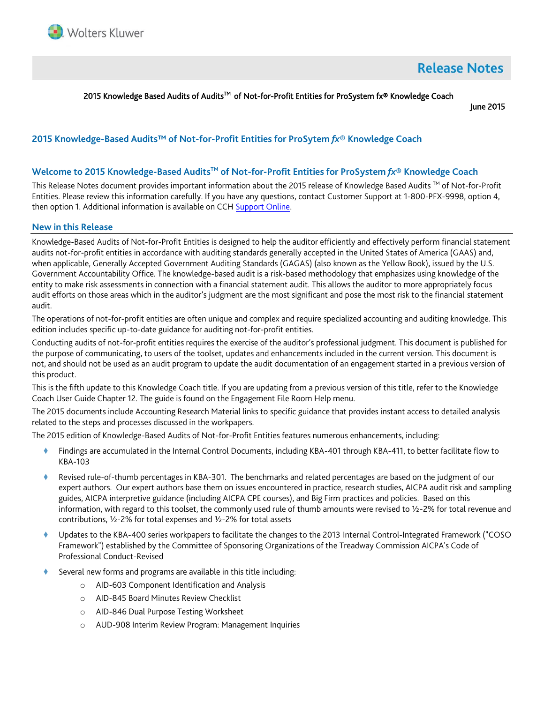

# **Release Notes**

#### 2015 Knowledge Based Audits of Audits<sup>™</sup> of Not-for-Profit Entities for ProSystem fx® Knowledge Coach

June 2015

# **2015 Knowledge-Based Audits™ of Not-for-Profit Entities for ProSytem** *fx***® Knowledge Coach**

#### **Welcome to 2015 Knowledge-Based AuditsTM of Not-for-Profit Entities for ProSystem** *fx***® Knowledge Coach**

This Release Notes document provides important information about the 2015 release of Knowledge Based Audits <sup>TM</sup> of Not-for-Profit Entities. Please review this information carefully. If you have any questions, contact Customer Support at 1-800-PFX-9998, option 4, then option 1. Additional information is available on CCH [Support Online.](http://support.cch.com/productsupport/)

#### **New in this Release**

Knowledge-Based Audits of Not-for-Profit Entities is designed to help the auditor efficiently and effectively perform financial statement audits not-for-profit entities in accordance with auditing standards generally accepted in the United States of America (GAAS) and, when applicable, Generally Accepted Government Auditing Standards (GAGAS) (also known as the Yellow Book), issued by the U.S. Government Accountability Office. The knowledge-based audit is a risk-based methodology that emphasizes using knowledge of the entity to make risk assessments in connection with a financial statement audit. This allows the auditor to more appropriately focus audit efforts on those areas which in the auditor's judgment are the most significant and pose the most risk to the financial statement audit.

The operations of not-for-profit entities are often unique and complex and require specialized accounting and auditing knowledge. This edition includes specific up-to-date guidance for auditing not-for-profit entities.

Conducting audits of not-for-profit entities requires the exercise of the auditor's professional judgment. This document is published for the purpose of communicating, to users of the toolset, updates and enhancements included in the current version. This document is not, and should not be used as an audit program to update the audit documentation of an engagement started in a previous version of this product.

This is the fifth update to this Knowledge Coach title. If you are updating from a previous version of this title, refer to the Knowledge Coach User Guide Chapter 12. The guide is found on the Engagement File Room Help menu.

The 2015 documents include Accounting Research Material links to specific guidance that provides instant access to detailed analysis related to the steps and processes discussed in the workpapers.

The 2015 edition of Knowledge-Based Audits of Not-for-Profit Entities features numerous enhancements, including:

- Findings are accumulated in the Internal Control Documents, including KBA-401 through KBA-411, to better facilitate flow to KBA-103
- Revised rule-of-thumb percentages in KBA-301. The benchmarks and related percentages are based on the judgment of our expert authors. Our expert authors base them on issues encountered in practice, research studies, AICPA audit risk and sampling guides, AICPA interpretive guidance (including AICPA CPE courses), and Big Firm practices and policies. Based on this information, with regard to this toolset, the commonly used rule of thumb amounts were revised to ½-2% for total revenue and contributions, ½-2% for total expenses and ½-2% for total assets
- Updates to the KBA-400 series workpapers to facilitate the changes to the 2013 Internal Control-Integrated Framework ("COSO Framework") established by the Committee of Sponsoring Organizations of the Treadway Commission AICPA's Code of Professional Conduct-Revised
- Several new forms and programs are available in this title including:
	- o AID-603 Component Identification and Analysis
	- o AID-845 Board Minutes Review Checklist
	- o AID-846 Dual Purpose Testing Worksheet
	- AUD-908 Interim Review Program: Management Inquiries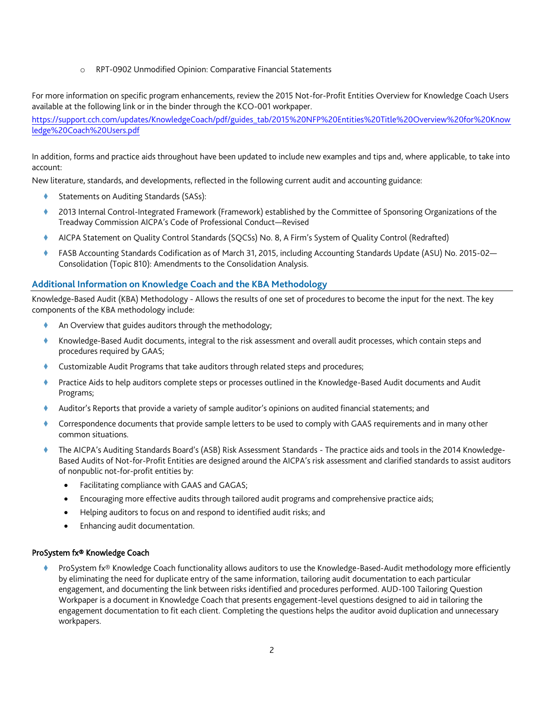o RPT-0902 Unmodified Opinion: Comparative Financial Statements

For more information on specific program enhancements, review the 2015 Not-for-Profit Entities Overview for Knowledge Coach Users available at the following link or in the binder through the KCO-001 workpaper.

[https://support.cch.com/updates/KnowledgeCoach/pdf/guides\\_tab/2015%20NFP%20Entities%20Title%20Overview%20for%20Know](https://support.cch.com/updates/KnowledgeCoach/pdf/guides_tab/2015%20NFP%20Entities%20Title%20Overview%20for%20Knowledge%20Coach%20Users.pdf) [ledge%20Coach%20Users.pdf](https://support.cch.com/updates/KnowledgeCoach/pdf/guides_tab/2015%20NFP%20Entities%20Title%20Overview%20for%20Knowledge%20Coach%20Users.pdf)

In addition, forms and practice aids throughout have been updated to include new examples and tips and, where applicable, to take into account:

New literature, standards, and developments, reflected in the following current audit and accounting guidance:

- Statements on Auditing Standards (SASs):
- 2013 Internal Control-Integrated Framework (Framework) established by the Committee of Sponsoring Organizations of the Treadway Commission AICPA's Code of Professional Conduct—Revised
- AICPA Statement on Quality Control Standards (SQCSs) No. 8, A Firm's System of Quality Control (Redrafted)
- FASB Accounting Standards Codification as of March 31, 2015, including Accounting Standards Update (ASU) No. 2015-02— Consolidation (Topic 810): Amendments to the Consolidation Analysis.

#### **Additional Information on Knowledge Coach and the KBA Methodology**

Knowledge-Based Audit (KBA) Methodology - Allows the results of one set of procedures to become the input for the next. The key components of the KBA methodology include:

- An Overview that guides auditors through the methodology;
- Knowledge-Based Audit documents, integral to the risk assessment and overall audit processes, which contain steps and procedures required by GAAS;
- Customizable Audit Programs that take auditors through related steps and procedures;
- Practice Aids to help auditors complete steps or processes outlined in the Knowledge-Based Audit documents and Audit Programs;
- Auditor's Reports that provide a variety of sample auditor's opinions on audited financial statements; and
- Correspondence documents that provide sample letters to be used to comply with GAAS requirements and in many other common situations.
- The AICPA's Auditing Standards Board's (ASB) Risk Assessment Standards The practice aids and tools in the 2014 Knowledge-Based Audits of Not-for-Profit Entities are designed around the AICPA's risk assessment and clarified standards to assist auditors of nonpublic not-for-profit entities by:
	- Facilitating compliance with GAAS and GAGAS;
	- Encouraging more effective audits through tailored audit programs and comprehensive practice aids;
	- Helping auditors to focus on and respond to identified audit risks; and
	- Enhancing audit documentation.

#### ProSystem fx® Knowledge Coach

 ProSystem fx® Knowledge Coach functionality allows auditors to use the Knowledge-Based-Audit methodology more efficiently by eliminating the need for duplicate entry of the same information, tailoring audit documentation to each particular engagement, and documenting the link between risks identified and procedures performed. AUD-100 Tailoring Question Workpaper is a document in Knowledge Coach that presents engagement-level questions designed to aid in tailoring the engagement documentation to fit each client. Completing the questions helps the auditor avoid duplication and unnecessary workpapers.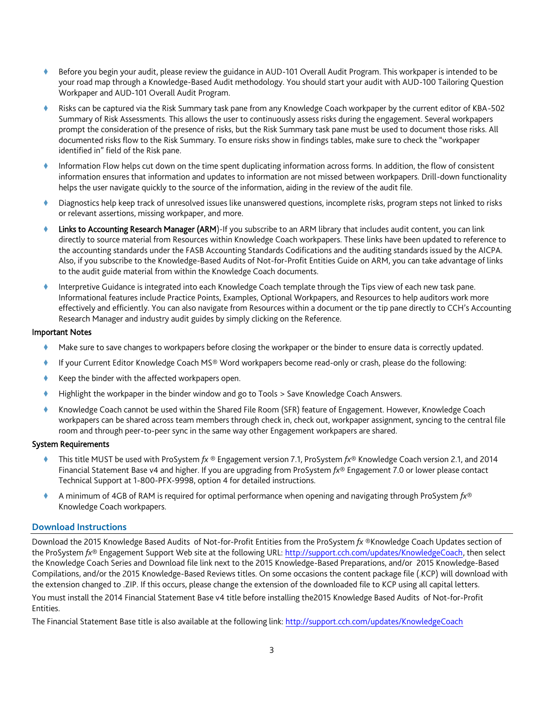- Before you begin your audit, please review the guidance in AUD-101 Overall Audit Program. This workpaper is intended to be your road map through a Knowledge-Based Audit methodology. You should start your audit with AUD-100 Tailoring Question Workpaper and AUD-101 Overall Audit Program.
- Risks can be captured via the Risk Summary task pane from any Knowledge Coach workpaper by the current editor of KBA-502 Summary of Risk Assessments. This allows the user to continuously assess risks during the engagement. Several workpapers prompt the consideration of the presence of risks, but the Risk Summary task pane must be used to document those risks. All documented risks flow to the Risk Summary. To ensure risks show in findings tables, make sure to check the "workpaper identified in" field of the Risk pane.
- Information Flow helps cut down on the time spent duplicating information across forms. In addition, the flow of consistent information ensures that information and updates to information are not missed between workpapers. Drill-down functionality helps the user navigate quickly to the source of the information, aiding in the review of the audit file.
- Diagnostics help keep track of unresolved issues like unanswered questions, incomplete risks, program steps not linked to risks or relevant assertions, missing workpaper, and more.
- Links to Accounting Research Manager (ARM)-If you subscribe to an ARM library that includes audit content, you can link directly to source material from Resources within Knowledge Coach workpapers. These links have been updated to reference to the accounting standards under the FASB Accounting Standards Codifications and the auditing standards issued by the AICPA. Also, if you subscribe to the Knowledge-Based Audits of Not-for-Profit Entities Guide on ARM, you can take advantage of links to the audit guide material from within the Knowledge Coach documents.
- Interpretive Guidance is integrated into each Knowledge Coach template through the Tips view of each new task pane. Informational features include Practice Points, Examples, Optional Workpapers, and Resources to help auditors work more effectively and efficiently. You can also navigate from Resources within a document or the tip pane directly to CCH's Accounting Research Manager and industry audit guides by simply clicking on the Reference.

#### Important Notes

- Make sure to save changes to workpapers before closing the workpaper or the binder to ensure data is correctly updated.
- If your Current Editor Knowledge Coach MS® Word workpapers become read-only or crash, please do the following:
- Keep the binder with the affected workpapers open.
- Highlight the workpaper in the binder window and go to Tools > Save Knowledge Coach Answers.
- Knowledge Coach cannot be used within the Shared File Room (SFR) feature of Engagement. However, Knowledge Coach workpapers can be shared across team members through check in, check out, workpaper assignment, syncing to the central file room and through peer-to-peer sync in the same way other Engagement workpapers are shared.

#### System Requirements

- This title MUST be used with ProSystem *fx* ® Engagement version 7.1, ProSystem *fx*® Knowledge Coach version 2.1, and 2014 Financial Statement Base v4 and higher. If you are upgrading from ProSystem *fx*® Engagement 7.0 or lower please contact Technical Support at 1-800-PFX-9998, option 4 for detailed instructions.
- A minimum of 4GB of RAM is required for optimal performance when opening and navigating through ProSystem *fx*® Knowledge Coach workpapers.

#### **Download Instructions**

Download the 2015 Knowledge Based Audits of Not-for-Profit Entities from the ProSystem *fx* ®Knowledge Coach Updates section of the ProSystem *fx*® Engagement Support Web site at the following URL: [http://support.cch.com/updates/KnowledgeCoach,](http://support.cch.com/updates/KnowledgeCoach) then select the Knowledge Coach Series and Download file link next to the 2015 Knowledge-Based Preparations, and/or 2015 Knowledge-Based Compilations, and/or the 2015 Knowledge-Based Reviews titles. On some occasions the content package file (.KCP) will download with the extension changed to .ZIP. If this occurs, please change the extension of the downloaded file to KCP using all capital letters. You must install the 2014 Financial Statement Base v4 title before installing the2015 Knowledge Based Audits of Not-for-Profit Entities.

The Financial Statement Base title is also available at the following link[: http://support.cch.com/updates/KnowledgeCoach](http://support.cch.com/updates/KnowledgeCoach)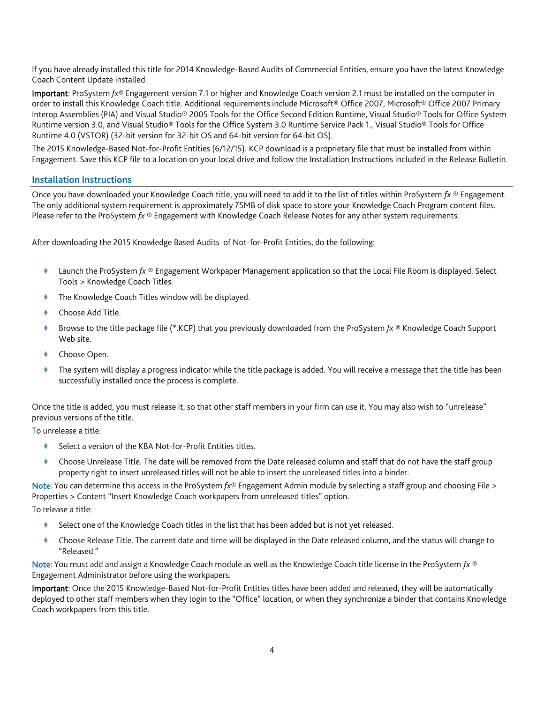If you have already installed this title for 2014 Knowledge-Based Audits of Commercial Entities, ensure you have the latest Knowledge Coach Content Update installed.

Important: ProSystem *fx*® Engagement version 7.1 or higher and Knowledge Coach version 2.1 must be installed on the computer in order to install this Knowledge Coach title. Additional requirements include Microsoft® Office 2007, Microsoft® Office 2007 Primary Interop Assemblies (PIA) and Visual Studio® 2005 Tools for the Office Second Edition Runtime, Visual Studio® Tools for Office System Runtime version 3.0, and Visual Studio® Tools for the Office System 3.0 Runtime Service Pack 1., Visual Studio® Tools for Office Runtime 4.0 (VSTOR) (32-bit version for 32-bit OS and 64-bit version for 64-bit OS).

The 2015 Knowledge-Based Not-for-Profit Entities (6/12/15). KCP download is a proprietary file that must be installed from within Engagement. Save this KCP file to a location on your local drive and follow the Installation Instructions included in the Release Bulletin.

#### **Installation Instructions**

Once you have downloaded your Knowledge Coach title, you will need to add it to the list of titles within ProSystem *fx* ® Engagement. The only additional system requirement is approximately 75MB of disk space to store your Knowledge Coach Program content files. Please refer to the ProSystem *fx* ® Engagement with Knowledge Coach Release Notes for any other system requirements.

After downloading the 2015 Knowledge Based Audits of Not-for-Profit Entities, do the following:

- Launch the ProSystem *fx* ® Engagement Workpaper Management application so that the Local File Room is displayed. Select Tools > Knowledge Coach Titles.
- The Knowledge Coach Titles window will be displayed.
- Choose Add Title.
- Browse to the title package file (\*.KCP) that you previously downloaded from the ProSystem *fx* ® Knowledge Coach Support Web site.
- Choose Open.
- The system will display a progress indicator while the title package is added. You will receive a message that the title has been successfully installed once the process is complete.

Once the title is added, you must release it, so that other staff members in your firm can use it. You may also wish to "unrelease" previous versions of the title.

To unrelease a title:

- Select a version of the KBA Not-for-Profit Entities titles.
- Choose Unrelease Title. The date will be removed from the Date released column and staff that do not have the staff group property right to insert unreleased titles will not be able to insert the unreleased titles into a binder.

Note: You can determine this access in the ProSystem *fx*® Engagement Admin module by selecting a staff group and choosing File > Properties > Content "Insert Knowledge Coach workpapers from unreleased titles" option.

To release a title:

- Select one of the Knowledge Coach titles in the list that has been added but is not yet released.
- Choose Release Title. The current date and time will be displayed in the Date released column, and the status will change to "Released."

Note: You must add and assign a Knowledge Coach module as well as the Knowledge Coach title license in the ProSystem *fx* ® Engagement Administrator before using the workpapers.

Important: Once the 2015 Knowledge-Based Not-for-Profit Entities titles have been added and released, they will be automatically deployed to other staff members when they login to the "Office" location, or when they synchronize a binder that contains Knowledge Coach workpapers from this title.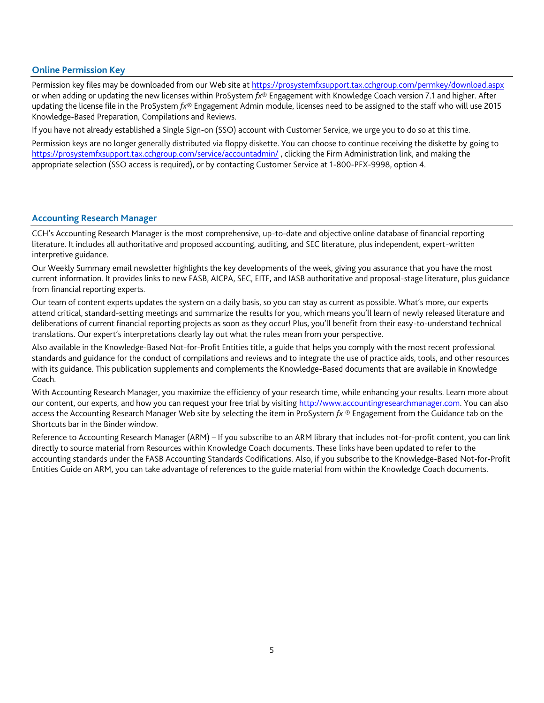#### **Online Permission Key**

Permission key files may be downloaded from our Web site a[t https://prosystemfxsupport.tax.cchgroup.com/permkey/download.aspx](https://prosystemfxsupport.tax.cchgroup.com/permkey/download.aspx)  or when adding or updating the new licenses within ProSystem *fx*® Engagement with Knowledge Coach version 7.1 and higher. After updating the license file in the ProSystem *fx*® Engagement Admin module, licenses need to be assigned to the staff who will use 2015 Knowledge-Based Preparation, Compilations and Reviews.

If you have not already established a Single Sign-on (SSO) account with Customer Service, we urge you to do so at this time. Permission keys are no longer generally distributed via floppy diskette. You can choose to continue receiving the diskette by going to <https://prosystemfxsupport.tax.cchgroup.com/service/accountadmin/> , clicking the Firm Administration link, and making the appropriate selection (SSO access is required), or by contacting Customer Service at 1-800-PFX-9998, option 4.

#### **Accounting Research Manager**

CCH's Accounting Research Manager is the most comprehensive, up-to-date and objective online database of financial reporting literature. It includes all authoritative and proposed accounting, auditing, and SEC literature, plus independent, expert-written interpretive guidance.

Our Weekly Summary email newsletter highlights the key developments of the week, giving you assurance that you have the most current information. It provides links to new FASB, AICPA, SEC, EITF, and IASB authoritative and proposal-stage literature, plus guidance from financial reporting experts.

Our team of content experts updates the system on a daily basis, so you can stay as current as possible. What's more, our experts attend critical, standard-setting meetings and summarize the results for you, which means you'll learn of newly released literature and deliberations of current financial reporting projects as soon as they occur! Plus, you'll benefit from their easy-to-understand technical translations. Our expert's interpretations clearly lay out what the rules mean from your perspective.

Also available in the Knowledge-Based Not-for-Profit Entities title, a guide that helps you comply with the most recent professional standards and guidance for the conduct of compilations and reviews and to integrate the use of practice aids, tools, and other resources with its guidance. This publication supplements and complements the Knowledge-Based documents that are available in Knowledge Coach.

With Accounting Research Manager, you maximize the efficiency of your research time, while enhancing your results. Learn more about our content, our experts, and how you can request your free trial by visiting [http://www.accountingresearchmanager.com.](http://www.accountingresearchmanager.com/) You can also access the Accounting Research Manager Web site by selecting the item in ProSystem *fx* ® Engagement from the Guidance tab on the Shortcuts bar in the Binder window.

Reference to Accounting Research Manager (ARM) – If you subscribe to an ARM library that includes not-for-profit content, you can link directly to source material from Resources within Knowledge Coach documents. These links have been updated to refer to the accounting standards under the FASB Accounting Standards Codifications. Also, if you subscribe to the Knowledge-Based Not-for-Profit Entities Guide on ARM, you can take advantage of references to the guide material from within the Knowledge Coach documents.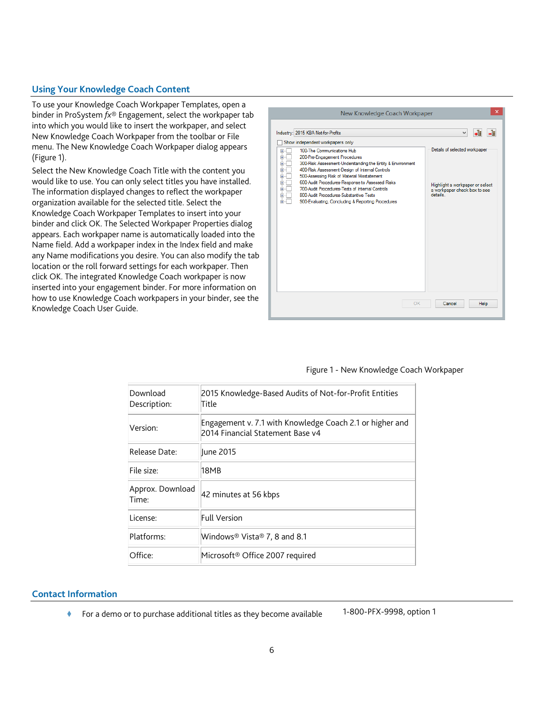### **Using Your Knowledge Coach Content**

To use your Knowledge Coach Workpaper Templates, open a binder in ProSystem *fx*® Engagement, select the workpaper tab into which you would like to insert the workpaper, and select New Knowledge Coach Workpaper from the toolbar or File menu. The New Knowledge Coach Workpaper dialog appears (Figure 1).

Select the New Knowledge Coach Title with the content you would like to use. You can only select titles you have installed. The information displayed changes to reflect the workpaper organization available for the selected title. Select the Knowledge Coach Workpaper Templates to insert into your binder and click OK. The Selected Workpaper Properties dialog appears. Each workpaper name is automatically loaded into the Name field. Add a workpaper index in the Index field and make any Name modifications you desire. You can also modify the tab location or the roll forward settings for each workpaper. Then click OK. The integrated Knowledge Coach workpaper is now inserted into your engagement binder. For more information on how to use Knowledge Coach workpapers in your binder, see the Knowledge Coach User Guide.



#### Figure 1 - New Knowledge Coach Workpaper

| Download<br>Description:  | 2015 Knowledge-Based Audits of Not-for-Profit Entities<br>Title                              |
|---------------------------|----------------------------------------------------------------------------------------------|
| Version:                  | Engagement v. 7.1 with Knowledge Coach 2.1 or higher and<br>2014 Financial Statement Base v4 |
| Release Date:             | June 2015                                                                                    |
| File size:                | 18MB                                                                                         |
| Approx. Download<br>Time: | 42 minutes at 56 kbps                                                                        |
| License:                  | <b>Full Version</b>                                                                          |
| Platforms:                | Windows® Vista® 7, 8 and 8.1                                                                 |
| Office:                   | Microsoft <sup>®</sup> Office 2007 required                                                  |

#### **Contact Information**

◆ For a demo or to purchase additional titles as they become available 1-800-PFX-9998, option 1